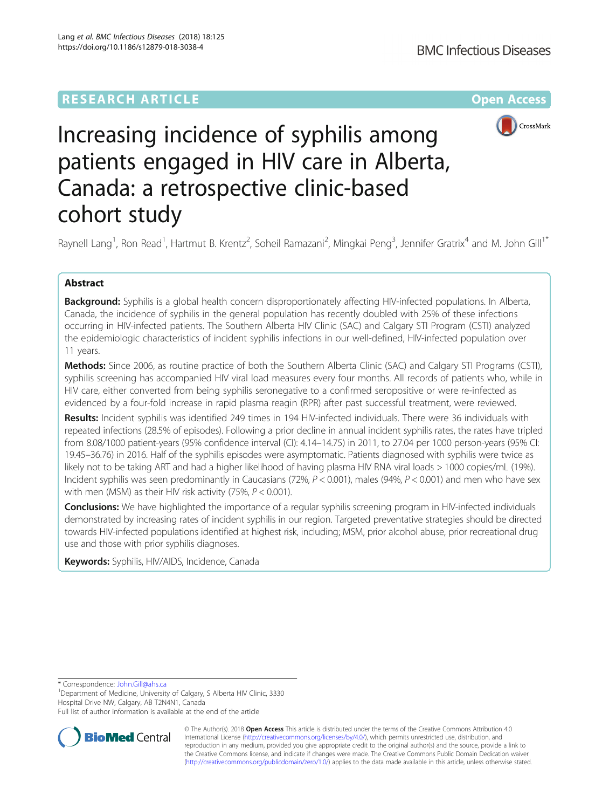

# Increasing incidence of syphilis among patients engaged in HIV care in Alberta, Canada: a retrospective clinic-based cohort study

Raynell Lang<sup>1</sup>, Ron Read<sup>1</sup>, Hartmut B. Krentz<sup>2</sup>, Soheil Ramazani<sup>2</sup>, Mingkai Peng<sup>3</sup>, Jennifer Gratrix<sup>4</sup> and M. John Gill<sup>1\*</sup>

# Abstract

Background: Syphilis is a global health concern disproportionately affecting HIV-infected populations. In Alberta, Canada, the incidence of syphilis in the general population has recently doubled with 25% of these infections occurring in HIV-infected patients. The Southern Alberta HIV Clinic (SAC) and Calgary STI Program (CSTI) analyzed the epidemiologic characteristics of incident syphilis infections in our well-defined, HIV-infected population over 11 years.

Methods: Since 2006, as routine practice of both the Southern Alberta Clinic (SAC) and Calgary STI Programs (CSTI), syphilis screening has accompanied HIV viral load measures every four months. All records of patients who, while in HIV care, either converted from being syphilis seronegative to a confirmed seropositive or were re-infected as evidenced by a four-fold increase in rapid plasma reagin (RPR) after past successful treatment, were reviewed.

Results: Incident syphilis was identified 249 times in 194 HIV-infected individuals. There were 36 individuals with repeated infections (28.5% of episodes). Following a prior decline in annual incident syphilis rates, the rates have tripled from 8.08/1000 patient-years (95% confidence interval (CI): 4.14–14.75) in 2011, to 27.04 per 1000 person-years (95% CI: 19.45–36.76) in 2016. Half of the syphilis episodes were asymptomatic. Patients diagnosed with syphilis were twice as likely not to be taking ART and had a higher likelihood of having plasma HIV RNA viral loads > 1000 copies/mL (19%). Incident syphilis was seen predominantly in Caucasians (72%,  $P < 0.001$ ), males (94%,  $P < 0.001$ ) and men who have sex with men (MSM) as their HIV risk activity (75%, P < 0.001).

Conclusions: We have highlighted the importance of a regular syphilis screening program in HIV-infected individuals demonstrated by increasing rates of incident syphilis in our region. Targeted preventative strategies should be directed towards HIV-infected populations identified at highest risk, including; MSM, prior alcohol abuse, prior recreational drug use and those with prior syphilis diagnoses.

Keywords: Syphilis, HIV/AIDS, Incidence, Canada

\* Correspondence: [John.Gill@ahs.ca](mailto:John.Gill@ahs.ca) <sup>1</sup>

<sup>1</sup>Department of Medicine, University of Calgary, S Alberta HIV Clinic, 3330 Hospital Drive NW, Calgary, AB T2N4N1, Canada

Full list of author information is available at the end of the article



© The Author(s). 2018 Open Access This article is distributed under the terms of the Creative Commons Attribution 4.0 International License [\(http://creativecommons.org/licenses/by/4.0/](http://creativecommons.org/licenses/by/4.0/)), which permits unrestricted use, distribution, and reproduction in any medium, provided you give appropriate credit to the original author(s) and the source, provide a link to the Creative Commons license, and indicate if changes were made. The Creative Commons Public Domain Dedication waiver [\(http://creativecommons.org/publicdomain/zero/1.0/](http://creativecommons.org/publicdomain/zero/1.0/)) applies to the data made available in this article, unless otherwise stated.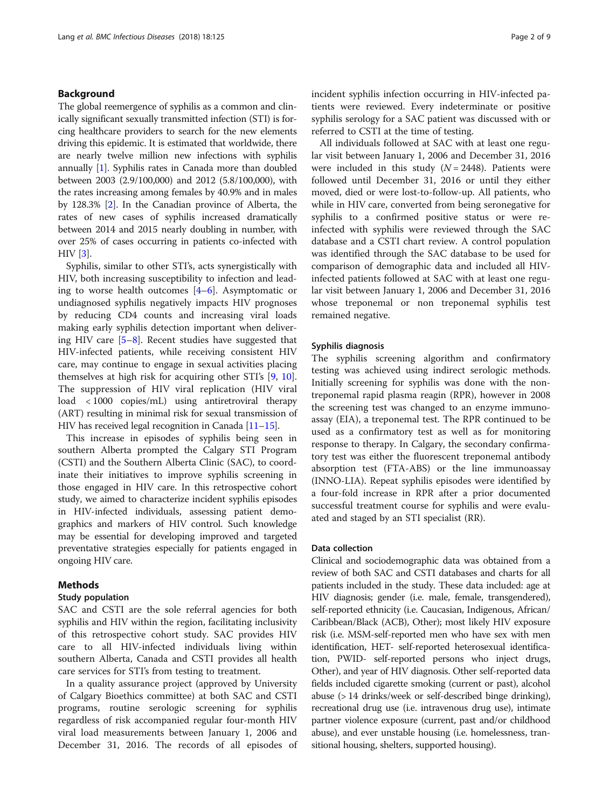# Background

The global reemergence of syphilis as a common and clinically significant sexually transmitted infection (STI) is forcing healthcare providers to search for the new elements driving this epidemic. It is estimated that worldwide, there are nearly twelve million new infections with syphilis annually [\[1\]](#page-7-0). Syphilis rates in Canada more than doubled between 2003 (2.9/100,000) and 2012 (5.8/100,000), with the rates increasing among females by 40.9% and in males by 128.3% [[2](#page-7-0)]. In the Canadian province of Alberta, the rates of new cases of syphilis increased dramatically between 2014 and 2015 nearly doubling in number, with over 25% of cases occurring in patients co-infected with HIV [[3\]](#page-7-0).

Syphilis, similar to other STI's, acts synergistically with HIV, both increasing susceptibility to infection and leading to worse health outcomes  $[4-6]$  $[4-6]$  $[4-6]$  $[4-6]$ . Asymptomatic or undiagnosed syphilis negatively impacts HIV prognoses by reducing CD4 counts and increasing viral loads making early syphilis detection important when delivering HIV care [[5](#page-7-0)–[8](#page-7-0)]. Recent studies have suggested that HIV-infected patients, while receiving consistent HIV care, may continue to engage in sexual activities placing themselves at high risk for acquiring other STI's [[9,](#page-7-0) [10](#page-7-0)]. The suppression of HIV viral replication (HIV viral load < 1000 copies/mL) using antiretroviral therapy (ART) resulting in minimal risk for sexual transmission of HIV has received legal recognition in Canada [\[11](#page-7-0)–[15](#page-7-0)].

This increase in episodes of syphilis being seen in southern Alberta prompted the Calgary STI Program (CSTI) and the Southern Alberta Clinic (SAC), to coordinate their initiatives to improve syphilis screening in those engaged in HIV care. In this retrospective cohort study, we aimed to characterize incident syphilis episodes in HIV-infected individuals, assessing patient demographics and markers of HIV control. Such knowledge may be essential for developing improved and targeted preventative strategies especially for patients engaged in ongoing HIV care.

# Methods

# Study population

SAC and CSTI are the sole referral agencies for both syphilis and HIV within the region, facilitating inclusivity of this retrospective cohort study. SAC provides HIV care to all HIV-infected individuals living within southern Alberta, Canada and CSTI provides all health care services for STI's from testing to treatment.

In a quality assurance project (approved by University of Calgary Bioethics committee) at both SAC and CSTI programs, routine serologic screening for syphilis regardless of risk accompanied regular four-month HIV viral load measurements between January 1, 2006 and December 31, 2016. The records of all episodes of incident syphilis infection occurring in HIV-infected patients were reviewed. Every indeterminate or positive syphilis serology for a SAC patient was discussed with or referred to CSTI at the time of testing.

All individuals followed at SAC with at least one regular visit between January 1, 2006 and December 31, 2016 were included in this study  $(N = 2448)$ . Patients were followed until December 31, 2016 or until they either moved, died or were lost-to-follow-up. All patients, who while in HIV care, converted from being seronegative for syphilis to a confirmed positive status or were reinfected with syphilis were reviewed through the SAC database and a CSTI chart review. A control population was identified through the SAC database to be used for comparison of demographic data and included all HIVinfected patients followed at SAC with at least one regular visit between January 1, 2006 and December 31, 2016 whose treponemal or non treponemal syphilis test remained negative.

## Syphilis diagnosis

The syphilis screening algorithm and confirmatory testing was achieved using indirect serologic methods. Initially screening for syphilis was done with the nontreponemal rapid plasma reagin (RPR), however in 2008 the screening test was changed to an enzyme immunoassay (EIA), a treponemal test. The RPR continued to be used as a confirmatory test as well as for monitoring response to therapy. In Calgary, the secondary confirmatory test was either the fluorescent treponemal antibody absorption test (FTA-ABS) or the line immunoassay (INNO-LIA). Repeat syphilis episodes were identified by a four-fold increase in RPR after a prior documented successful treatment course for syphilis and were evaluated and staged by an STI specialist (RR).

# Data collection

Clinical and sociodemographic data was obtained from a review of both SAC and CSTI databases and charts for all patients included in the study. These data included: age at HIV diagnosis; gender (i.e. male, female, transgendered), self-reported ethnicity (i.e. Caucasian, Indigenous, African/ Caribbean/Black (ACB), Other); most likely HIV exposure risk (i.e. MSM-self-reported men who have sex with men identification, HET- self-reported heterosexual identification, PWID- self-reported persons who inject drugs, Other), and year of HIV diagnosis. Other self-reported data fields included cigarette smoking (current or past), alcohol abuse (> 14 drinks/week or self-described binge drinking), recreational drug use (i.e. intravenous drug use), intimate partner violence exposure (current, past and/or childhood abuse), and ever unstable housing (i.e. homelessness, transitional housing, shelters, supported housing).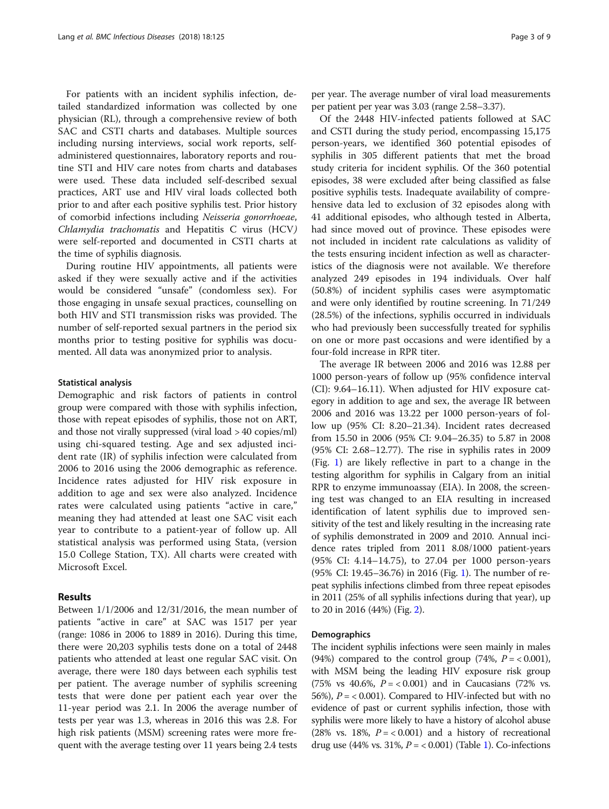For patients with an incident syphilis infection, detailed standardized information was collected by one physician (RL), through a comprehensive review of both SAC and CSTI charts and databases. Multiple sources including nursing interviews, social work reports, selfadministered questionnaires, laboratory reports and routine STI and HIV care notes from charts and databases were used. These data included self-described sexual practices, ART use and HIV viral loads collected both prior to and after each positive syphilis test. Prior history of comorbid infections including Neisseria gonorrhoeae, Chlamydia trachomatis and Hepatitis C virus (HCV) were self-reported and documented in CSTI charts at the time of syphilis diagnosis.

During routine HIV appointments, all patients were asked if they were sexually active and if the activities would be considered "unsafe" (condomless sex). For those engaging in unsafe sexual practices, counselling on both HIV and STI transmission risks was provided. The number of self-reported sexual partners in the period six months prior to testing positive for syphilis was documented. All data was anonymized prior to analysis.

## Statistical analysis

Demographic and risk factors of patients in control group were compared with those with syphilis infection, those with repeat episodes of syphilis, those not on ART, and those not virally suppressed (viral load > 40 copies/ml) using chi-squared testing. Age and sex adjusted incident rate (IR) of syphilis infection were calculated from 2006 to 2016 using the 2006 demographic as reference. Incidence rates adjusted for HIV risk exposure in addition to age and sex were also analyzed. Incidence rates were calculated using patients "active in care," meaning they had attended at least one SAC visit each year to contribute to a patient-year of follow up. All statistical analysis was performed using Stata, (version 15.0 College Station, TX). All charts were created with Microsoft Excel.

# Results

Between 1/1/2006 and 12/31/2016, the mean number of patients "active in care" at SAC was 1517 per year (range: 1086 in 2006 to 1889 in 2016). During this time, there were 20,203 syphilis tests done on a total of 2448 patients who attended at least one regular SAC visit. On average, there were 180 days between each syphilis test per patient. The average number of syphilis screening tests that were done per patient each year over the 11-year period was 2.1. In 2006 the average number of tests per year was 1.3, whereas in 2016 this was 2.8. For high risk patients (MSM) screening rates were more frequent with the average testing over 11 years being 2.4 tests

per year. The average number of viral load measurements per patient per year was 3.03 (range 2.58–3.37).

Of the 2448 HIV-infected patients followed at SAC and CSTI during the study period, encompassing 15,175 person-years, we identified 360 potential episodes of syphilis in 305 different patients that met the broad study criteria for incident syphilis. Of the 360 potential episodes, 38 were excluded after being classified as false positive syphilis tests. Inadequate availability of comprehensive data led to exclusion of 32 episodes along with 41 additional episodes, who although tested in Alberta, had since moved out of province. These episodes were not included in incident rate calculations as validity of the tests ensuring incident infection as well as characteristics of the diagnosis were not available. We therefore analyzed 249 episodes in 194 individuals. Over half (50.8%) of incident syphilis cases were asymptomatic and were only identified by routine screening. In 71/249 (28.5%) of the infections, syphilis occurred in individuals who had previously been successfully treated for syphilis on one or more past occasions and were identified by a four-fold increase in RPR titer.

The average IR between 2006 and 2016 was 12.88 per 1000 person-years of follow up (95% confidence interval (CI): 9.64–16.11). When adjusted for HIV exposure category in addition to age and sex, the average IR between 2006 and 2016 was 13.22 per 1000 person-years of follow up (95% CI: 8.20–21.34). Incident rates decreased from 15.50 in 2006 (95% CI: 9.04–26.35) to 5.87 in 2008 (95% CI: 2.68–12.77). The rise in syphilis rates in 2009 (Fig. [1\)](#page-3-0) are likely reflective in part to a change in the testing algorithm for syphilis in Calgary from an initial RPR to enzyme immunoassay (EIA). In 2008, the screening test was changed to an EIA resulting in increased identification of latent syphilis due to improved sensitivity of the test and likely resulting in the increasing rate of syphilis demonstrated in 2009 and 2010. Annual incidence rates tripled from 2011 8.08/1000 patient-years (95% CI: 4.14–14.75), to 27.04 per 1000 person-years (95% CI: 19.45–36.76) in 2016 (Fig. [1\)](#page-3-0). The number of repeat syphilis infections climbed from three repeat episodes in 2011 (25% of all syphilis infections during that year), up to 20 in 2016 (44%) (Fig. [2\)](#page-3-0).

## Demographics

The incident syphilis infections were seen mainly in males (94%) compared to the control group (74%,  $P = < 0.001$ ), with MSM being the leading HIV exposure risk group (75% vs 40.6%,  $P = < 0.001$ ) and in Caucasians (72% vs. 56%),  $P = < 0.001$ ). Compared to HIV-infected but with no evidence of past or current syphilis infection, those with syphilis were more likely to have a history of alcohol abuse (28% vs. 18%,  $P = < 0.001$ ) and a history of recreational drug use (44% vs. 31%,  $P = < 0.001$ ) (Table [1\)](#page-4-0). Co-infections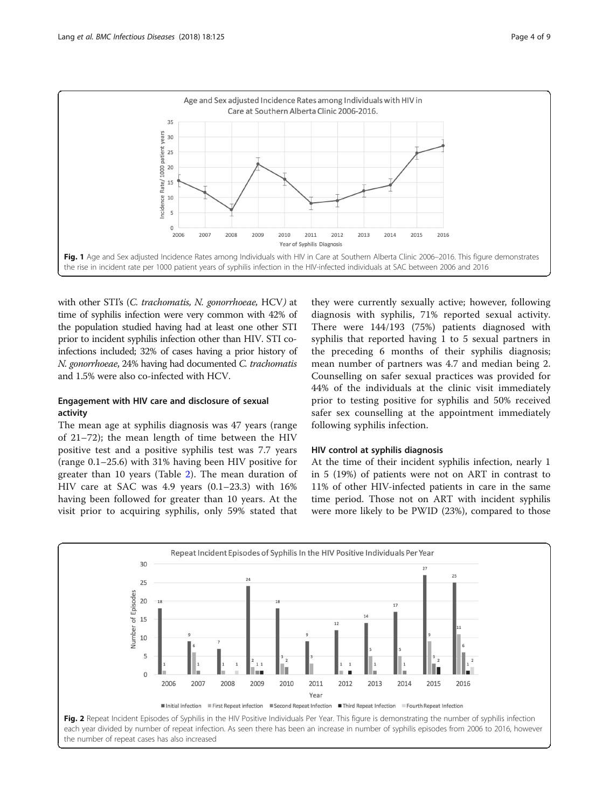<span id="page-3-0"></span>

with other STI's (C. trachomatis, N. gonorrhoeae, HCV) at time of syphilis infection were very common with 42% of the population studied having had at least one other STI prior to incident syphilis infection other than HIV. STI coinfections included; 32% of cases having a prior history of N. gonorrhoeae, 24% having had documented C. trachomatis and 1.5% were also co-infected with HCV.

# Engagement with HIV care and disclosure of sexual activity

The mean age at syphilis diagnosis was 47 years (range of 21–72); the mean length of time between the HIV positive test and a positive syphilis test was 7.7 years (range 0.1–25.6) with 31% having been HIV positive for greater than 10 years (Table [2](#page-5-0)). The mean duration of HIV care at SAC was 4.9 years (0.1–23.3) with 16% having been followed for greater than 10 years. At the visit prior to acquiring syphilis, only 59% stated that

they were currently sexually active; however, following diagnosis with syphilis, 71% reported sexual activity. There were 144/193 (75%) patients diagnosed with syphilis that reported having 1 to 5 sexual partners in the preceding 6 months of their syphilis diagnosis; mean number of partners was 4.7 and median being 2. Counselling on safer sexual practices was provided for 44% of the individuals at the clinic visit immediately prior to testing positive for syphilis and 50% received safer sex counselling at the appointment immediately following syphilis infection.

# HIV control at syphilis diagnosis

At the time of their incident syphilis infection, nearly 1 in 5 (19%) of patients were not on ART in contrast to 11% of other HIV-infected patients in care in the same time period. Those not on ART with incident syphilis were more likely to be PWID (23%), compared to those



each year divided by number of repeat infection. As seen there has been an increase in number of syphilis episodes from 2006 to 2016, however the number of repeat cases has also increased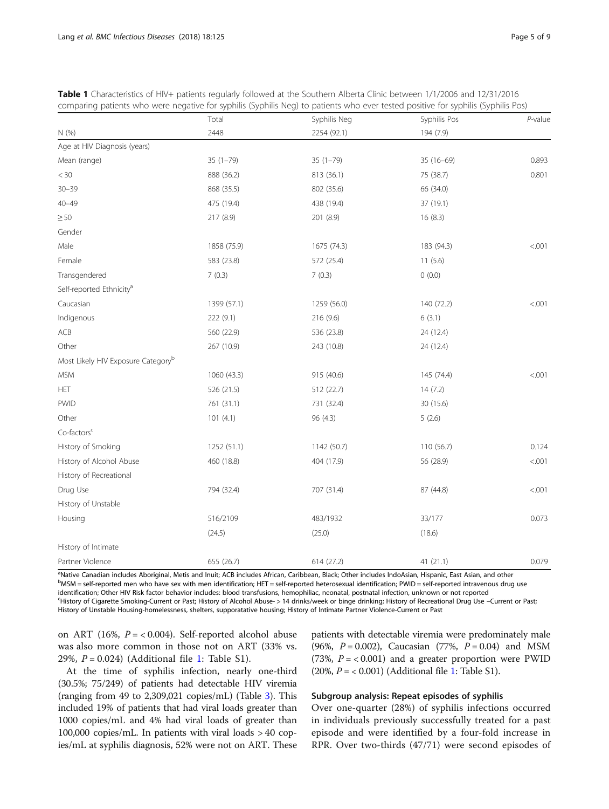|                                                | Total        | Syphilis Neg | Syphilis Pos | $P$ -value |
|------------------------------------------------|--------------|--------------|--------------|------------|
| N(% )                                          | 2448         | 2254 (92.1)  | 194 (7.9)    |            |
| Age at HIV Diagnosis (years)                   |              |              |              |            |
| Mean (range)                                   | $35(1 - 79)$ | $35(1 - 79)$ | $35(16-69)$  | 0.893      |
| $<$ 30                                         | 888 (36.2)   | 813 (36.1)   | 75 (38.7)    | 0.801      |
| $30 - 39$                                      | 868 (35.5)   | 802 (35.6)   | 66 (34.0)    |            |
| $40 - 49$                                      | 475 (19.4)   | 438 (19.4)   | 37 (19.1)    |            |
| $\geq 50$                                      | 217 (8.9)    | 201 (8.9)    | 16(8.3)      |            |
| Gender                                         |              |              |              |            |
| Male                                           | 1858 (75.9)  | 1675 (74.3)  | 183 (94.3)   | < .001     |
| Female                                         | 583 (23.8)   | 572 (25.4)   | 11(5.6)      |            |
| Transgendered                                  | 7(0.3)       | 7(0.3)       | 0(0.0)       |            |
| Self-reported Ethnicity <sup>a</sup>           |              |              |              |            |
| Caucasian                                      | 1399 (57.1)  | 1259 (56.0)  | 140 (72.2)   | < .001     |
| Indigenous                                     | 222 (9.1)    | 216 (9.6)    | 6(3.1)       |            |
| ACB                                            | 560 (22.9)   | 536 (23.8)   | 24 (12.4)    |            |
| Other                                          | 267 (10.9)   | 243 (10.8)   | 24 (12.4)    |            |
| Most Likely HIV Exposure Category <sup>b</sup> |              |              |              |            |
| <b>MSM</b>                                     | 1060 (43.3)  | 915 (40.6)   | 145 (74.4)   | < .001     |
| <b>HET</b>                                     | 526 (21.5)   | 512 (22.7)   | 14(7.2)      |            |
| <b>PWID</b>                                    | 761 (31.1)   | 731 (32.4)   | 30 (15.6)    |            |
| Other                                          | 101(4.1)     | 96 (4.3)     | 5(2.6)       |            |
| Co-factors <sup>c</sup>                        |              |              |              |            |
| History of Smoking                             | 1252 (51.1)  | 1142 (50.7)  | 110 (56.7)   | 0.124      |
| History of Alcohol Abuse                       | 460 (18.8)   | 404 (17.9)   | 56 (28.9)    | < .001     |
| History of Recreational                        |              |              |              |            |
| Drug Use                                       | 794 (32.4)   | 707 (31.4)   | 87 (44.8)    | < .001     |
| History of Unstable                            |              |              |              |            |
| Housing                                        | 516/2109     | 483/1932     | 33/177       | 0.073      |
|                                                | (24.5)       | (25.0)       | (18.6)       |            |
| History of Intimate                            |              |              |              |            |
| Partner Violence                               | 655 (26.7)   | 614 (27.2)   | 41 (21.1)    | 0.079      |

<span id="page-4-0"></span>

| <b>Table 1</b> Characteristics of HIV+ patients regularly followed at the Southern Alberta Clinic between 1/1/2006 and 12/31/2016 |  |  |  |
|-----------------------------------------------------------------------------------------------------------------------------------|--|--|--|
| comparing patients who were negative for syphilis (Syphilis Neg) to patients who ever tested positive for syphilis (Syphilis Pos) |  |  |  |

<sup>a</sup>Native Canadian includes Aboriginal, Metis and Inuit: ACB includes African, Caribbean, Black: Other includes IndoAsian, Hispanic, East Asian, and other <sup>a</sup>Native Canadian includes Aboriginal, Metis and Inuit; ACB includes African, Caribbean, Black; Other includes IndoAsian, Hispanic, East Asian, and other<br><sup>b</sup>MSM = self-reported men who have sex with men identification; HE identification; Other HIV Risk factor behavior includes: blood transfusions, hemophiliac, neonatal, postnatal infection, unknown or not reported History of Cigarette Smoking-Current or Past; History of Alcohol Abuse- > 14 drinks/week or binge drinking; History of Recreational Drug Use –Current or Past; History of Unstable Housing-homelessness, shelters, supporatative housing; History of Intimate Partner Violence-Current or Past

on ART (16%,  $P = < 0.004$ ). Self-reported alcohol abuse was also more common in those not on ART (33% vs. 29%,  $P = 0.024$ ) (Additional file [1](#page-7-0): Table S1).

At the time of syphilis infection, nearly one-third (30.5%; 75/249) of patients had detectable HIV viremia (ranging from 49 to 2,309,021 copies/mL) (Table [3](#page-5-0)). This included 19% of patients that had viral loads greater than 1000 copies/mL and 4% had viral loads of greater than 100,000 copies/mL. In patients with viral loads > 40 copies/mL at syphilis diagnosis, 52% were not on ART. These

patients with detectable viremia were predominately male (96%,  $P = 0.002$ ), Caucasian (77%,  $P = 0.04$ ) and MSM (73%,  $P = < 0.001$ ) and a greater proportion were PWID (20%,  $P = < 0.001$ ) (Additional file [1:](#page-7-0) Table S1).

# Subgroup analysis: Repeat episodes of syphilis

Over one-quarter (28%) of syphilis infections occurred in individuals previously successfully treated for a past episode and were identified by a four-fold increase in RPR. Over two-thirds (47/71) were second episodes of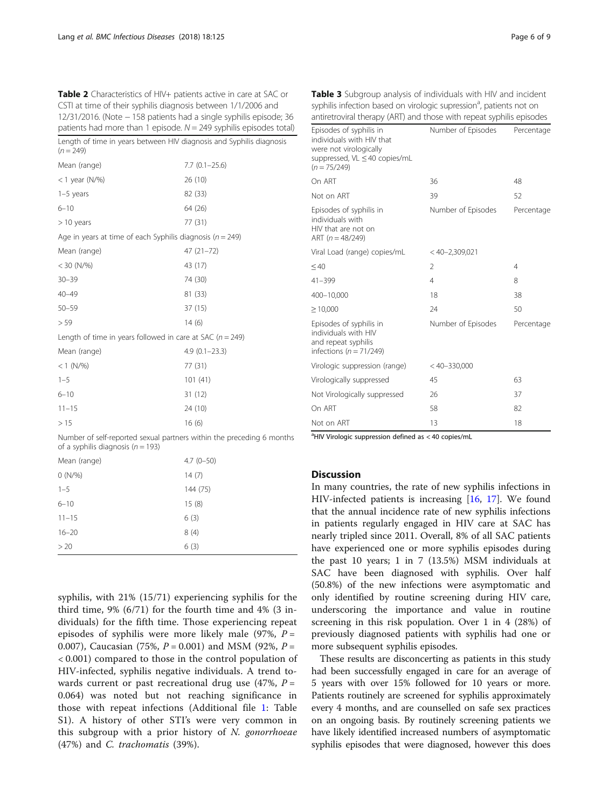<span id="page-5-0"></span>Table 2 Characteristics of HIV+ patients active in care at SAC or CSTI at time of their syphilis diagnosis between 1/1/2006 and 12/31/2016. (Note − 158 patients had a single syphilis episode; 36 patients had more than 1 episode.  $N = 249$  syphilis episodes total)

| Length of time in years between HIV diagnosis and Syphilis diagnosis<br>$(n = 249)$ |                   |
|-------------------------------------------------------------------------------------|-------------------|
| Mean (range)                                                                        | $7.7(0.1 - 25.6)$ |
| < 1 year ( $N$ /%)                                                                  | 26 (10)           |
| $1-5$ years                                                                         | 82 (33)           |
| $6 - 10$                                                                            | 64 (26)           |
| $>$ 10 years                                                                        | 77 (31)           |
| Age in years at time of each Syphilis diagnosis ( $n = 249$ )                       |                   |
| Mean (range)                                                                        | 47 (21-72)        |
| $<$ 30 (N/%)                                                                        | 43 (17)           |
| $30 - 39$                                                                           | 74 (30)           |
| $40 - 49$                                                                           | 81 (33)           |
| $50 - 59$                                                                           | 37 (15)           |
| > 59                                                                                | 14(6)             |
| Length of time in years followed in care at SAC ( $n = 249$ )                       |                   |
| Mean (range)                                                                        | $4.9(0.1 - 23.3)$ |
| $< 1$ (N/%)                                                                         | 77 (31)           |
| $1 - 5$                                                                             | 101(41)           |
| $6 - 10$                                                                            | 31 (12)           |
| $11 - 15$                                                                           | 24 (10)           |
| >15                                                                                 | 16(6)             |
| Number of self-reported sexual partners within the preceding 6 mont                 |                   |

Number of self-reported sexual partners within the preceding 6 months of a syphilis diagnosis ( $n = 193$ )

| Mean (range)      | $4.7(0-50)$ |
|-------------------|-------------|
| $0(N\frac{9}{6})$ | 14(7)       |
| $1 - 5$           | 144 (75)    |
| $6 - 10$          | 15(8)       |
| $11 - 15$         | 6(3)        |
| $16 - 20$         | 8(4)        |
| > 20              | 6(3)        |

syphilis, with 21% (15/71) experiencing syphilis for the third time,  $9\%$  (6/71) for the fourth time and  $4\%$  (3 individuals) for the fifth time. Those experiencing repeat episodes of syphilis were more likely male (97%,  $P =$ 0.007), Caucasian (75%,  $P = 0.001$ ) and MSM (92%,  $P =$ < 0.001) compared to those in the control population of HIV-infected, syphilis negative individuals. A trend towards current or past recreational drug use  $(47\%, P =$ 0.064) was noted but not reaching significance in those with repeat infections (Additional file [1:](#page-7-0) Table S1). A history of other STI's were very common in this subgroup with a prior history of  $N$ . gonorrhoeae (47%) and C. trachomatis (39%).

| antiretroviral therapy (ART) and those with repeat syphilis episodes                                                              |                    |                |
|-----------------------------------------------------------------------------------------------------------------------------------|--------------------|----------------|
| Episodes of syphilis in<br>individuals with HIV that<br>were not virologically<br>suppressed, VL ≤ 40 copies/mL<br>$(n = 75/249)$ | Number of Episodes | Percentage     |
| On ART                                                                                                                            | 36                 | 48             |
| Not on ART                                                                                                                        | 39                 | 52             |
| Episodes of syphilis in<br>individuals with<br>HIV that are not on<br>ART $(n = 48/249)$                                          | Number of Episodes | Percentage     |
| Viral Load (range) copies/mL                                                                                                      | $<$ 40-2,309,021   |                |
| $\leq 40$                                                                                                                         | $\overline{2}$     | $\overline{4}$ |
| 41-399                                                                                                                            | $\overline{4}$     | 8              |
| 400-10,000                                                                                                                        | 18                 | 38             |
| $\geq 10,000$                                                                                                                     | 24                 | 50             |
| Episodes of syphilis in<br>individuals with HIV<br>and repeat syphilis<br>infections ( $n = 71/249$ )                             | Number of Episodes | Percentage     |
| Virologic suppression (range)                                                                                                     | $< 40 - 330,000$   |                |
| Virologically suppressed                                                                                                          | 45                 | 63             |
| Not Virologically suppressed                                                                                                      | 26                 | 37             |
| On ART                                                                                                                            | 58                 | 82             |
| Not on ART                                                                                                                        | 13                 | 18             |

Table 3 Subgroup analysis of individuals with HIV and incident syphilis infection based on virologic supression<sup>a</sup>, patients not on antiretroviral therapy (ART) and those with repeat syphilis episodes

<sup>a</sup>HIV Virologic suppression defined as < 40 copies/mL

# **Discussion**

In many countries, the rate of new syphilis infections in HIV-infected patients is increasing [[16](#page-7-0), [17\]](#page-7-0). We found that the annual incidence rate of new syphilis infections in patients regularly engaged in HIV care at SAC has nearly tripled since 2011. Overall, 8% of all SAC patients have experienced one or more syphilis episodes during the past 10 years; 1 in 7 (13.5%) MSM individuals at SAC have been diagnosed with syphilis. Over half (50.8%) of the new infections were asymptomatic and only identified by routine screening during HIV care, underscoring the importance and value in routine screening in this risk population. Over 1 in 4 (28%) of previously diagnosed patients with syphilis had one or more subsequent syphilis episodes.

These results are disconcerting as patients in this study had been successfully engaged in care for an average of 5 years with over 15% followed for 10 years or more. Patients routinely are screened for syphilis approximately every 4 months, and are counselled on safe sex practices on an ongoing basis. By routinely screening patients we have likely identified increased numbers of asymptomatic syphilis episodes that were diagnosed, however this does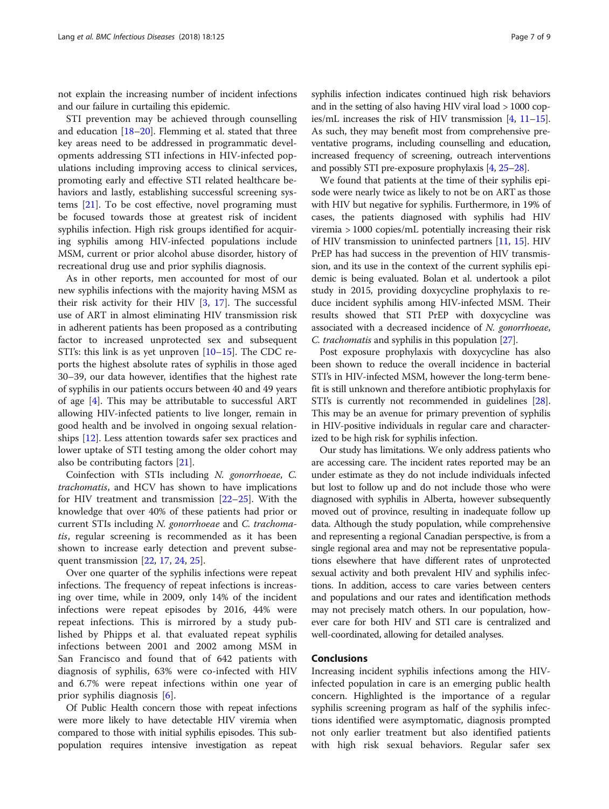not explain the increasing number of incident infections and our failure in curtailing this epidemic.

STI prevention may be achieved through counselling and education  $[18–20]$  $[18–20]$  $[18–20]$ . Flemming et al. stated that three key areas need to be addressed in programmatic developments addressing STI infections in HIV-infected populations including improving access to clinical services, promoting early and effective STI related healthcare behaviors and lastly, establishing successful screening systems [\[21](#page-8-0)]. To be cost effective, novel programing must be focused towards those at greatest risk of incident syphilis infection. High risk groups identified for acquiring syphilis among HIV-infected populations include MSM, current or prior alcohol abuse disorder, history of recreational drug use and prior syphilis diagnosis.

As in other reports, men accounted for most of our new syphilis infections with the majority having MSM as their risk activity for their HIV  $[3, 17]$  $[3, 17]$  $[3, 17]$ . The successful use of ART in almost eliminating HIV transmission risk in adherent patients has been proposed as a contributing factor to increased unprotected sex and subsequent STI's: this link is as yet unproven  $[10-15]$  $[10-15]$  $[10-15]$ . The CDC reports the highest absolute rates of syphilis in those aged 30–39, our data however, identifies that the highest rate of syphilis in our patients occurs between 40 and 49 years of age [\[4\]](#page-7-0). This may be attributable to successful ART allowing HIV-infected patients to live longer, remain in good health and be involved in ongoing sexual relationships [[12](#page-7-0)]. Less attention towards safer sex practices and lower uptake of STI testing among the older cohort may also be contributing factors [\[21](#page-8-0)].

Coinfection with STIs including N. gonorrhoeae, C. trachomatis, and HCV has shown to have implications for HIV treatment and transmission  $[22-25]$  $[22-25]$  $[22-25]$ . With the knowledge that over 40% of these patients had prior or current STIs including N. gonorrhoeae and C. trachomatis, regular screening is recommended as it has been shown to increase early detection and prevent subsequent transmission [\[22,](#page-8-0) [17,](#page-7-0) [24,](#page-8-0) [25\]](#page-8-0).

Over one quarter of the syphilis infections were repeat infections. The frequency of repeat infections is increasing over time, while in 2009, only 14% of the incident infections were repeat episodes by 2016, 44% were repeat infections. This is mirrored by a study published by Phipps et al. that evaluated repeat syphilis infections between 2001 and 2002 among MSM in San Francisco and found that of 642 patients with diagnosis of syphilis, 63% were co-infected with HIV and 6.7% were repeat infections within one year of prior syphilis diagnosis [[6\]](#page-7-0).

Of Public Health concern those with repeat infections were more likely to have detectable HIV viremia when compared to those with initial syphilis episodes. This subpopulation requires intensive investigation as repeat syphilis infection indicates continued high risk behaviors and in the setting of also having HIV viral load > 1000 copies/mL increases the risk of HIV transmission [\[4,](#page-7-0) [11](#page-7-0)–[15](#page-7-0)]. As such, they may benefit most from comprehensive preventative programs, including counselling and education, increased frequency of screening, outreach interventions and possibly STI pre-exposure prophylaxis [[4](#page-7-0), [25](#page-8-0)–[28\]](#page-8-0).

We found that patients at the time of their syphilis episode were nearly twice as likely to not be on ART as those with HIV but negative for syphilis. Furthermore, in 19% of cases, the patients diagnosed with syphilis had HIV viremia > 1000 copies/mL potentially increasing their risk of HIV transmission to uninfected partners [[11](#page-7-0), [15\]](#page-7-0). HIV PrEP has had success in the prevention of HIV transmission, and its use in the context of the current syphilis epidemic is being evaluated. Bolan et al. undertook a pilot study in 2015, providing doxycycline prophylaxis to reduce incident syphilis among HIV-infected MSM. Their results showed that STI PrEP with doxycycline was associated with a decreased incidence of N. gonorrhoeae, C. trachomatis and syphilis in this population [[27\]](#page-8-0).

Post exposure prophylaxis with doxycycline has also been shown to reduce the overall incidence in bacterial STI's in HIV-infected MSM, however the long-term benefit is still unknown and therefore antibiotic prophylaxis for STI's is currently not recommended in guidelines [[28](#page-8-0)]. This may be an avenue for primary prevention of syphilis in HIV-positive individuals in regular care and characterized to be high risk for syphilis infection.

Our study has limitations. We only address patients who are accessing care. The incident rates reported may be an under estimate as they do not include individuals infected but lost to follow up and do not include those who were diagnosed with syphilis in Alberta, however subsequently moved out of province, resulting in inadequate follow up data. Although the study population, while comprehensive and representing a regional Canadian perspective, is from a single regional area and may not be representative populations elsewhere that have different rates of unprotected sexual activity and both prevalent HIV and syphilis infections. In addition, access to care varies between centers and populations and our rates and identification methods may not precisely match others. In our population, however care for both HIV and STI care is centralized and well-coordinated, allowing for detailed analyses.

## Conclusions

Increasing incident syphilis infections among the HIVinfected population in care is an emerging public health concern. Highlighted is the importance of a regular syphilis screening program as half of the syphilis infections identified were asymptomatic, diagnosis prompted not only earlier treatment but also identified patients with high risk sexual behaviors. Regular safer sex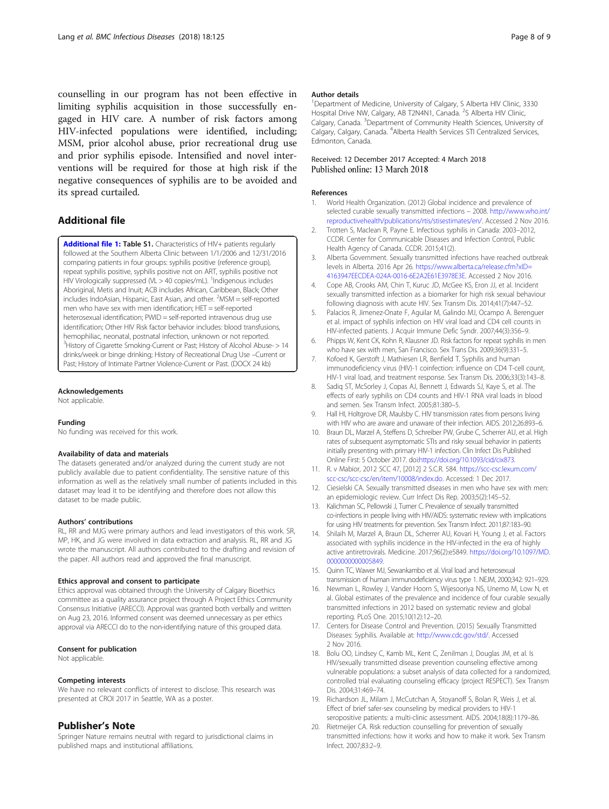<span id="page-7-0"></span>counselling in our program has not been effective in limiting syphilis acquisition in those successfully engaged in HIV care. A number of risk factors among HIV-infected populations were identified, including; MSM, prior alcohol abuse, prior recreational drug use and prior syphilis episode. Intensified and novel interventions will be required for those at high risk if the negative consequences of syphilis are to be avoided and its spread curtailed.

# Additional file

[Additional file 1:](https://doi.org/10.1186/s12879-018-3038-4) Table S1. Characteristics of HIV+ patients regularly followed at the Southern Alberta Clinic between 1/1/2006 and 12/31/2016 comparing patients in four groups: syphilis positive (reference group), repeat syphilis positive, syphilis positive not on ART, syphilis positive not HIV Virologically suppressed (VL > 40 copies/mL). <sup>1</sup>Indigenous includes Aboriginal, Metis and Inuit; ACB includes African, Caribbean, Black; Other includes IndoAsian, Hispanic, East Asian, and other. <sup>2</sup>MSM = self-reported men who have sex with men identification; HET = self-reported heterosexual identification; PWID = self-reported intravenous drug use identification; Other HIV Risk factor behavior includes: blood transfusions, hemophiliac, neonatal, postnatal infection, unknown or not reported. <sup>3</sup> History of Cigarette Smoking-Current or Past; History of Alcohol Abuse- > 14 drinks/week or binge drinking; History of Recreational Drug Use –Current or Past; History of Intimate Partner Violence-Current or Past. (DOCX 24 kb)

## Acknowledgements

Not applicable.

#### Funding

No funding was received for this work.

## Availability of data and materials

The datasets generated and/or analyzed during the current study are not publicly available due to patient confidentiality. The sensitive nature of this information as well as the relatively small number of patients included in this dataset may lead it to be identifying and therefore does not allow this dataset to be made public.

#### Authors' contributions

RL, RR and MJG were primary authors and lead investigators of this work. SR, MP, HK, and JG were involved in data extraction and analysis. RL, RR and JG wrote the manuscript. All authors contributed to the drafting and revision of the paper. All authors read and approved the final manuscript.

## Ethics approval and consent to participate

Ethics approval was obtained through the University of Calgary Bioethics committee as a quality assurance project through A Project Ethics Community Consensus Initiative (ARECCI). Approval was granted both verbally and written on Aug 23, 2016. Informed consent was deemed unnecessary as per ethics approval via ARECCI do to the non-identifying nature of this grouped data.

## Consent for publication

Not applicable.

#### Competing interests

We have no relevant conflicts of interest to disclose. This research was presented at CROI 2017 in Seattle, WA as a poster.

## Publisher's Note

Springer Nature remains neutral with regard to jurisdictional claims in published maps and institutional affiliations.

## Author details

<sup>1</sup>Department of Medicine, University of Calgary, S Alberta HIV Clinic, 3330 Hospital Drive NW, Calgary, AB T2N4N1, Canada. <sup>2</sup>S Alberta HIV Clinic, Calgary, Canada. <sup>3</sup>Department of Community Health Sciences, University of Calgary, Calgary, Canada. <sup>4</sup> Alberta Health Services STI Centralized Services Edmonton, Canada.

## Received: 12 December 2017 Accepted: 4 March 2018 Published online: 13 March 2018

#### References

- 1. World Health Organization. (2012) Global incidence and prevalence of selected curable sexually transmitted infections – 2008. [http://www.who.int/](http://www.who.int/reproductivehealth/publications/rtis/stisestimates/en/) [reproductivehealth/publications/rtis/stisestimates/en/.](http://www.who.int/reproductivehealth/publications/rtis/stisestimates/en/) Accessed 2 Nov 2016.
- 2. Trotten S, Maclean R, Payne E. Infectious syphilis in Canada: 2003–2012, CCDR. Center for Communicable Diseases and Infection Control, Public Health Agency of Canada. CCDR. 2015;41(2).
- 3. Alberta Government. Sexually transmitted infections have reached outbreak levels in Alberta. 2016 Apr 26. [https://www.alberta.ca/release.cfm?xID=](https://www.alberta.ca/release.cfm?xID=4163947EECDEA-024A-0016-6E2A2E61E3978E3E) [4163947EECDEA-024A-0016-6E2A2E61E3978E3E](https://www.alberta.ca/release.cfm?xID=4163947EECDEA-024A-0016-6E2A2E61E3978E3E). Accessed 2 Nov 2016.
- 4. Cope AB, Crooks AM, Chin T, Kuruc JD, McGee KS, Eron JJ, et al. Incident sexually transmitted infection as a biomarker for high risk sexual behaviour following diagnosis with acute HIV. Sex Transm Dis. 2014;41(7):447–52.
- Palacios R, Jimenez-Onate F, Aguilar M, Galindo MJ, Ocampo A. Berenguer et al. impact of syphilis infection on HIV viral load and CD4 cell counts in HIV-infected patients. J Acquir Immune Defic Syndr. 2007;44(3):356–9.
- 6. Phipps W, Kent CK, Kohn R, Klausner JD. Risk factors for repeat syphilis in men who have sex with men, San Francisco. Sex Trans Dis. 2009;36(9):331–5.
- 7. Kofoed K, Gerstoft J, Mathiesen LR, Benfield T. Syphilis and human immunodeficiency virus (HIV)-1 coinfection: influence on CD4 T-cell count, HIV-1 viral load, and treatment response. Sex Transm Dis. 2006;33(3):143–8.
- 8. Sadiq ST, McSorley J, Copas AJ, Bennett J, Edwards SJ, Kaye S, et al. The effects of early syphilis on CD4 counts and HIV-1 RNA viral loads in blood and semen. Sex Transm Infect. 2005;81:380–5.
- 9. Hall HI, Holtgrove DR, Maulsby C. HIV transmission rates from persons living with HIV who are aware and unaware of their infection. AIDS. 2012;26:893–6.
- 10. Braun DL, Marzel A, Steffens D, Schreiber PW, Grube C, Scherrer AU, et al. High rates of subsequent asymptomatic STIs and risky sexual behavior in patients initially presenting with primary HIV-1 infection. Clin Infect Dis Published Online First: 5 October 2017. doi:[https://doi.org/10.1093/cid/cix873.](https://doi.org/10.1093/cid/cix873)
- 11. R. v Mabior, 2012 SCC 47, [2012] 2 S.C.R. 584. [https://scc-csc.lexum.com/](https://scc-csc.lexum.com/scc-csc/scc-csc/en/item/10008/index.do) [scc-csc/scc-csc/en/item/10008/index.do.](https://scc-csc.lexum.com/scc-csc/scc-csc/en/item/10008/index.do) Accessed: 1 Dec 2017.
- 12. Ciesielski CA. Sexually transmitted diseases in men who have sex with men: an epidemiologic review. Curr Infect Dis Rep. 2003;5(2):145–52.
- 13. Kalichman SC, Pellowski J, Turner C. Prevalence of sexually transmitted co-infections in people living with HIV/AIDS: systematic review with implications for using HIV treatments for prevention. Sex Transm Infect. 2011;87:183–90.
- 14. Shilaih M, Marzel A, Braun DL, Scherrer AU, Kovari H, Young J, et al. Factors associated with syphilis incidence in the HIV-infected in the era of highly active antiretrovirals. Medicine. 2017;96(2):e5849. [https://doi.org/10.1097/MD.](https://doi.org/10.1097/MD.0000000000005849) 000000000005849
- 15. Quinn TC, Wawer MJ, Sewankambo et al. Viral load and heterosexual transmission of human immunodeficiency virus type 1. NEJM, 2000;342: 921–929.
- 16. Newman L, Rowley J, Vander Hoorn S, Wijesooriya NS, Unemo M, Low N, et al. Global estimates of the prevalence and incidence of four curable sexually transmitted infections in 2012 based on systematic review and global reporting. PLoS One. 2015;10(12):12–20.
- 17. Centers for Disease Control and Prevention. (2015) Sexually Transmitted Diseases: Syphilis. Available at: [http://www.cdc.gov/std/.](http://www.cdc.gov/std/) Accessed 2 Nov 2016.
- 18. Bolu OO, Lindsey C, Kamb ML, Kent C, Zenilman J, Douglas JM, et al. Is HIV/sexually transmitted disease prevention counseling effective among vulnerable populations: a subset analysis of data collected for a randomized, controlled trial evaluating counseling efficacy (project RESPECT). Sex Transm Dis. 2004;31:469–74.
- 19. Richardson JL, Milam J, McCutchan A, Stoyanoff S, Bolan R, Weis J, et al. Effect of brief safer-sex counseling by medical providers to HIV-1 seropositive patients: a multi-clinic assessment. AIDS. 2004;18(8):1179–86.
- 20. Rietmeijer CA. Risk reduction counselling for prevention of sexually transmitted infections: how it works and how to make it work. Sex Transm Infect. 2007;83:2–9.